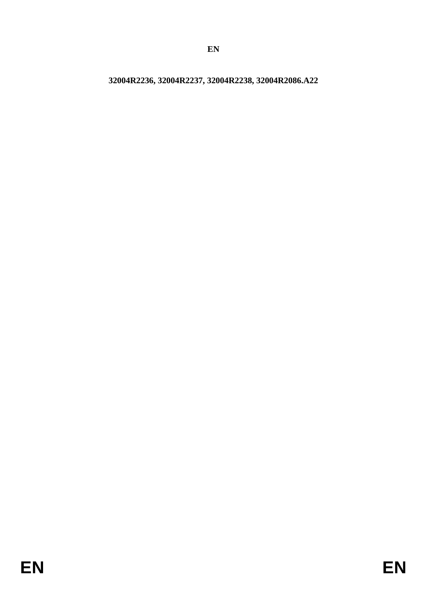**32004R2236, 32004R2237, 32004R2238, 32004R2086.A22**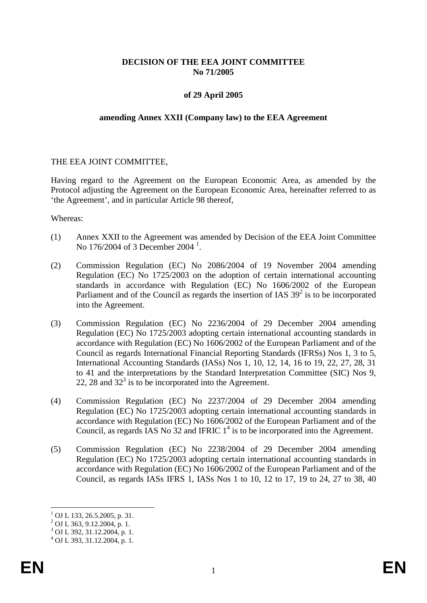# **DECISION OF THE EEA JOINT COMMITTEE No 71/2005**

### **of 29 April 2005**

#### **amending Annex XXII (Company law) to the EEA Agreement**

### THE EEA JOINT COMMITTEE,

Having regard to the Agreement on the European Economic Area, as amended by the Protocol adjusting the Agreement on the European Economic Area, hereinafter referred to as 'the Agreement', and in particular Article 98 thereof,

Whereas:

- (1) Annex XXII to the Agreement was amended by Decision of the EEA Joint Committee No [1](#page-1-0)76/2004 of 3 December 2004<sup>1</sup>.
- (2) Commission Regulation (EC) No 2086/2004 of 19 November 2004 amending Regulation (EC) No 1725/2003 on the adoption of certain international accounting standards in accordance with Regulation (EC) No 1606/2002 of the European Parliament and of the Council as regards the insertion of IAS  $39<sup>2</sup>$  is to be incorporated into the Agreement.
- (3) Commission Regulation (EC) No 2236/2004 of 29 December 2004 amending Regulation (EC) No 1725/2003 adopting certain international accounting standards in accordance with Regulation (EC) No 1606/2002 of the European Parliament and of the Council as regards International Financial Reporting Standards (IFRSs) Nos 1, 3 to 5, International Accounting Standards (IASs) Nos 1, 10, 12, 14, 16 to 19, 22, 27, 28, 31 to 41 and the interpretations by the Standard Interpretation Committee (SIC) Nos 9, 22, 28 and  $32<sup>3</sup>$  is to be incorporated into the Agreement.
- (4) Commission Regulation (EC) No 2237/2004 of 29 December 2004 amending Regulation (EC) No 1725/2003 adopting certain international accounting standards in accordance with Regulation (EC) No 1606/2002 of the European Parliament and of the Council, as regards IAS No  $32$  and IFRIC  $1<sup>4</sup>$  is to be incorporated into the Agreement.
- (5) Commission Regulation (EC) No 2238/2004 of 29 December 2004 amending Regulation (EC) No 1725/2003 adopting certain international accounting standards in accordance with Regulation (EC) No 1606/2002 of the European Parliament and of the Council, as regards IASs IFRS 1, IASs Nos 1 to 10, 12 to 17, 19 to 24, 27 to 38, 40

 $1$  OJ L 133, 26.5.2005, p. 31.

 $^{2}$  OJ L 363, 9.12.2004, p. 1.

<span id="page-1-0"></span> $3$  OJ L 392, 31.12.2004, p. 1.<br> $4$  OJ L 393, 31.12.2004, p. 1.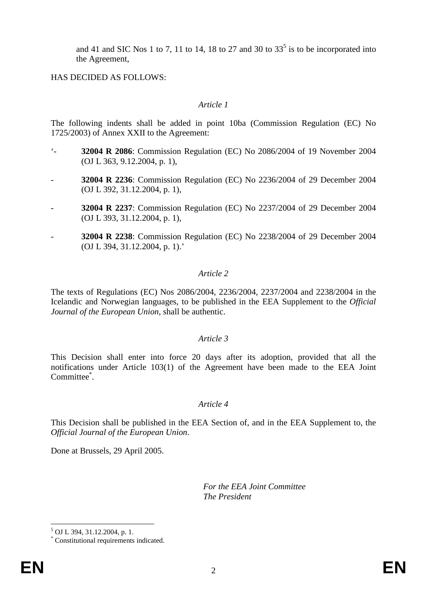and 41 and SIC Nos 1 to 7, 11 to 14, 18 to 27 and 30 to  $33<sup>5</sup>$  is to be incorporated into the Agreement,

HAS DECIDED AS FOLLOWS:

# *Article 1*

The following indents shall be added in point 10ba (Commission Regulation (EC) No 1725/2003) of Annex XXII to the Agreement:

- '- **32004 R 2086**: Commission Regulation (EC) No 2086/2004 of 19 November 2004 (OJ L 363, 9.12.2004, p. 1),
- **32004 R 2236**: Commission Regulation (EC) No 2236/2004 of 29 December 2004 (OJ L 392, 31.12.2004, p. 1),
- **32004 R 2237**: Commission Regulation (EC) No 2237/2004 of 29 December 2004 (OJ L 393, 31.12.2004, p. 1),
- **32004 R 2238**: Commission Regulation (EC) No 2238/2004 of 29 December 2004 (OJ L 394, 31.12.2004, p. 1).'

### *Article 2*

The texts of Regulations (EC) Nos 2086/2004, 2236/2004, 2237/2004 and 2238/2004 in the Icelandic and Norwegian languages, to be published in the EEA Supplement to the *Official Journal of the European Union*, shall be authentic.

# *Article 3*

This Decision shall enter into force 20 days after its adoption, provided that all the notifications under Article 103(1) of the Agreement have been made to the EEA Joint Committee<sup>\*</sup>.

### *Article 4*

This Decision shall be published in the EEA Section of, and in the EEA Supplement to, the *Official Journal of the European Union*.

Done at Brussels, 29 April 2005.

*For the EEA Joint Committee The President*

 $<sup>5</sup>$  OJ L 394, 31.12.2004, p. 1.</sup>

<sup>\*</sup> Constitutional requirements indicated.